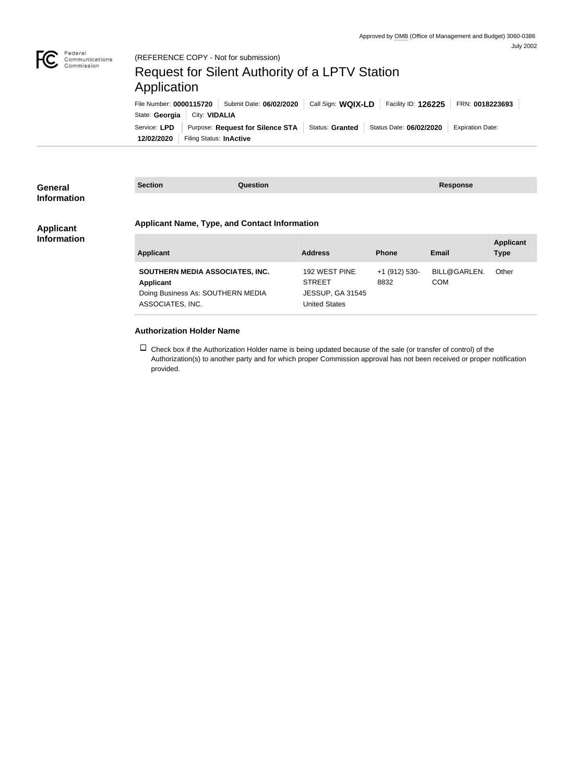

## Request for Silent Authority of a LPTV Station Application

|                                | File Number: 0000115720   Submit Date: 06/02/2020                            | Call Sign: WQIX-LD | Facility ID: $126225$ | FRN: 0018223693         |
|--------------------------------|------------------------------------------------------------------------------|--------------------|-----------------------|-------------------------|
| State: Georgia   City: VIDALIA |                                                                              |                    |                       |                         |
| Service: LPD                   | Purpose: Request for Silence STA   Status: Granted   Status Date: 06/02/2020 |                    |                       | <b>Expiration Date:</b> |
| 12/02/2020                     | Filing Status: InActive                                                      |                    |                       |                         |

| <b>General</b><br><b>Information</b> | <b>Section</b>                                       | Question |                                                 |               | <b>Response</b> |                  |  |
|--------------------------------------|------------------------------------------------------|----------|-------------------------------------------------|---------------|-----------------|------------------|--|
| <b>Applicant</b>                     | <b>Applicant Name, Type, and Contact Information</b> |          |                                                 |               |                 |                  |  |
| <b>Information</b>                   |                                                      |          |                                                 |               |                 | <b>Applicant</b> |  |
|                                      | <b>Applicant</b>                                     |          | <b>Address</b>                                  | <b>Phone</b>  | <b>Email</b>    | <b>Type</b>      |  |
|                                      | SOUTHERN MEDIA ASSOCIATES, INC.                      |          | 192 WEST PINE                                   | +1 (912) 530- | BILL@GARLEN.    | Other            |  |
|                                      | Applicant                                            |          | <b>STREET</b>                                   | 8832          | <b>COM</b>      |                  |  |
|                                      | Doing Business As: SOUTHERN MEDIA                    |          | <b>JESSUP, GA 31545</b><br><b>United States</b> |               |                 |                  |  |
|                                      | ASSOCIATES, INC.                                     |          |                                                 |               |                 |                  |  |
|                                      |                                                      |          |                                                 |               |                 |                  |  |
|                                      | <b>Authorization Holder Name</b>                     |          |                                                 |               |                 |                  |  |

 $\Box$  Check box if the Authorization Holder name is being updated because of the sale (or transfer of control) of the Authorization(s) to another party and for which proper Commission approval has not been received or proper notification provided.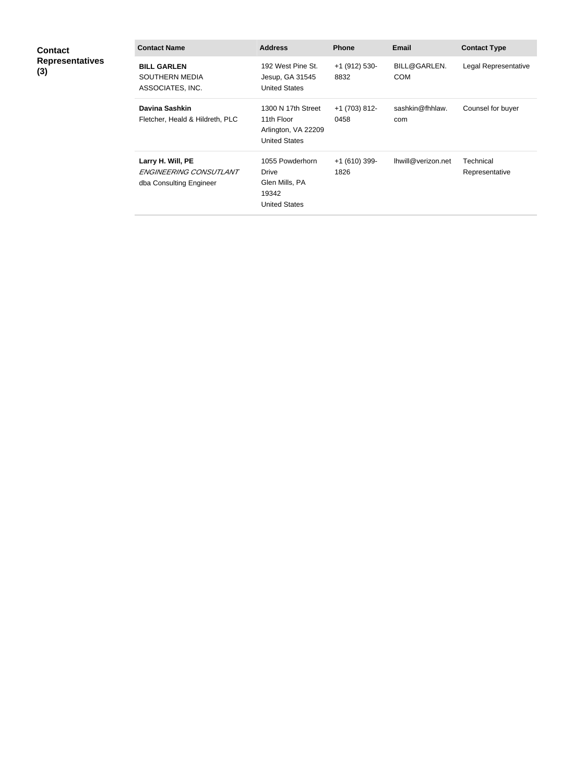| <b>Contact</b><br><b>Representatives</b><br>(3) | <b>Contact Name</b>                                                    | <b>Address</b>                                                                  | <b>Phone</b>            | Email                      | <b>Contact Type</b>         |
|-------------------------------------------------|------------------------------------------------------------------------|---------------------------------------------------------------------------------|-------------------------|----------------------------|-----------------------------|
|                                                 | <b>BILL GARLEN</b><br>SOUTHERN MEDIA<br>ASSOCIATES, INC.               | 192 West Pine St.<br>Jesup, GA 31545<br><b>United States</b>                    | +1 (912) 530-<br>8832   | BILL@GARLEN.<br><b>COM</b> | Legal Representative        |
|                                                 | <b>Davina Sashkin</b><br>Fletcher, Heald & Hildreth, PLC               | 1300 N 17th Street<br>11th Floor<br>Arlington, VA 22209<br><b>United States</b> | $+1$ (703) 812-<br>0458 | sashkin@fhhlaw.<br>com     | Counsel for buyer           |
|                                                 | Larry H. Will, PE<br>ENGINEERING CONSUTLANT<br>dba Consulting Engineer | 1055 Powderhorn<br>Drive<br>Glen Mills, PA<br>19342                             | $+1(610)$ 399-<br>1826  | Ihwill@verizon.net         | Technical<br>Representative |

United States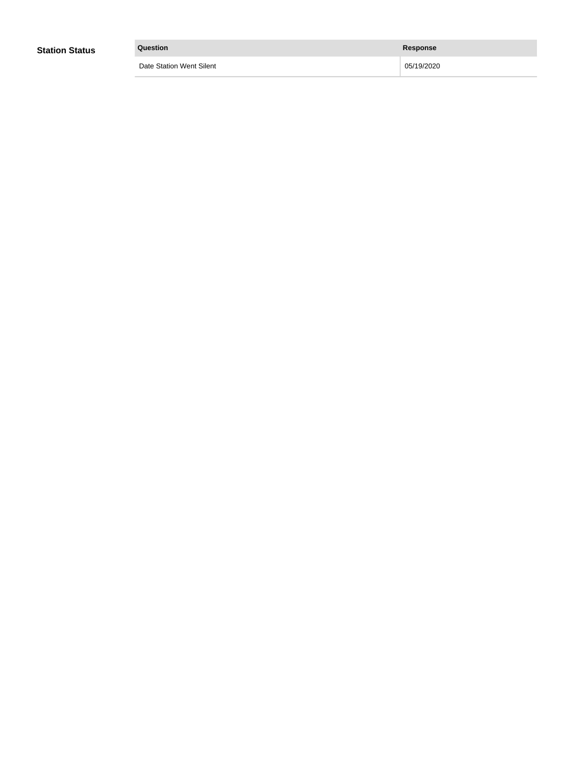| <b>Station Status</b> | Question                 | <b>Response</b> |
|-----------------------|--------------------------|-----------------|
|                       | Date Station Went Silent | 05/19/2020      |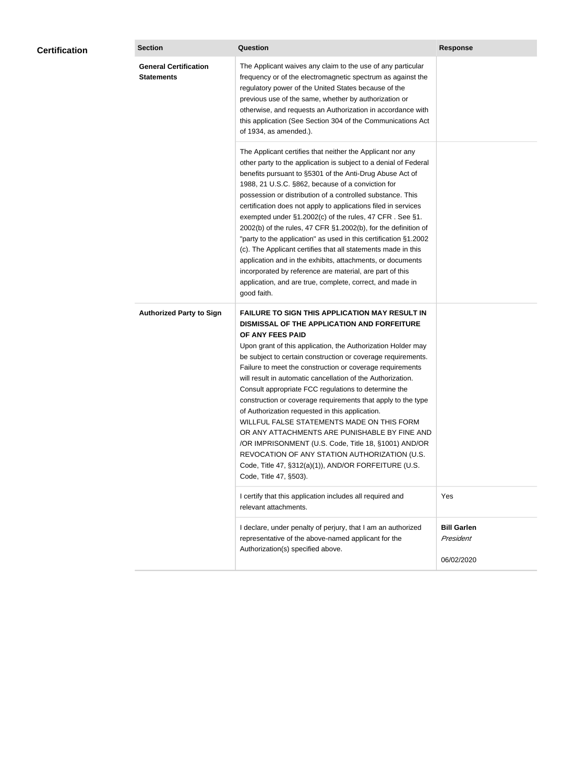| <b>Certification</b> | <b>Section</b>                                    | <b>Question</b>                                                                                                                                                                                                                                                                                                                                                                                                                                                                                                                                                                                                                                                                                                                                                                                                                                           | <b>Response</b>                               |
|----------------------|---------------------------------------------------|-----------------------------------------------------------------------------------------------------------------------------------------------------------------------------------------------------------------------------------------------------------------------------------------------------------------------------------------------------------------------------------------------------------------------------------------------------------------------------------------------------------------------------------------------------------------------------------------------------------------------------------------------------------------------------------------------------------------------------------------------------------------------------------------------------------------------------------------------------------|-----------------------------------------------|
|                      | <b>General Certification</b><br><b>Statements</b> | The Applicant waives any claim to the use of any particular<br>frequency or of the electromagnetic spectrum as against the<br>regulatory power of the United States because of the<br>previous use of the same, whether by authorization or<br>otherwise, and requests an Authorization in accordance with<br>this application (See Section 304 of the Communications Act<br>of 1934, as amended.).                                                                                                                                                                                                                                                                                                                                                                                                                                                       |                                               |
|                      |                                                   | The Applicant certifies that neither the Applicant nor any<br>other party to the application is subject to a denial of Federal<br>benefits pursuant to §5301 of the Anti-Drug Abuse Act of<br>1988, 21 U.S.C. §862, because of a conviction for<br>possession or distribution of a controlled substance. This<br>certification does not apply to applications filed in services<br>exempted under §1.2002(c) of the rules, 47 CFR. See §1.<br>2002(b) of the rules, 47 CFR §1.2002(b), for the definition of<br>"party to the application" as used in this certification §1.2002<br>(c). The Applicant certifies that all statements made in this<br>application and in the exhibits, attachments, or documents<br>incorporated by reference are material, are part of this<br>application, and are true, complete, correct, and made in<br>good faith.   |                                               |
|                      | <b>Authorized Party to Sign</b>                   | <b>FAILURE TO SIGN THIS APPLICATION MAY RESULT IN</b><br>DISMISSAL OF THE APPLICATION AND FORFEITURE<br>OF ANY FEES PAID<br>Upon grant of this application, the Authorization Holder may<br>be subject to certain construction or coverage requirements.<br>Failure to meet the construction or coverage requirements<br>will result in automatic cancellation of the Authorization.<br>Consult appropriate FCC regulations to determine the<br>construction or coverage requirements that apply to the type<br>of Authorization requested in this application.<br>WILLFUL FALSE STATEMENTS MADE ON THIS FORM<br>OR ANY ATTACHMENTS ARE PUNISHABLE BY FINE AND<br>/OR IMPRISONMENT (U.S. Code, Title 18, §1001) AND/OR<br>REVOCATION OF ANY STATION AUTHORIZATION (U.S.<br>Code, Title 47, §312(a)(1)), AND/OR FORFEITURE (U.S.<br>Code, Title 47, §503). |                                               |
|                      |                                                   | I certify that this application includes all required and<br>relevant attachments.                                                                                                                                                                                                                                                                                                                                                                                                                                                                                                                                                                                                                                                                                                                                                                        | Yes                                           |
|                      |                                                   | I declare, under penalty of perjury, that I am an authorized<br>representative of the above-named applicant for the<br>Authorization(s) specified above.                                                                                                                                                                                                                                                                                                                                                                                                                                                                                                                                                                                                                                                                                                  | <b>Bill Garlen</b><br>President<br>06/02/2020 |